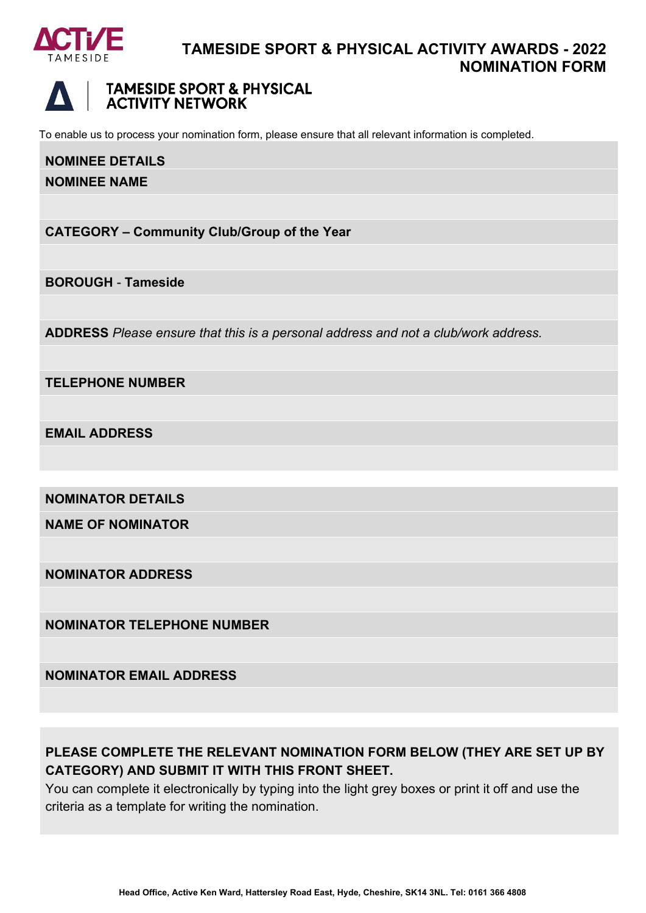

### **TAMESIDE SPORT & PHYSICAL ACTIVITY AWARDS - 2022 NOMINATION FORM**



To enable us to process your nomination form, please ensure that all relevant information is completed.

# **NOMINEE DETAILS**

**NOMINEE NAME**

**CATEGORY – Community Club/Group of the Year**

**BOROUGH** - **Tameside**

**ADDRESS** *Please ensure that this is a personal address and not a club/work address.*

**TELEPHONE NUMBER**

**EMAIL ADDRESS**

**NOMINATOR DETAILS**

**NAME OF NOMINATOR**

**NOMINATOR ADDRESS**

**NOMINATOR TELEPHONE NUMBER**

**NOMINATOR EMAIL ADDRESS**

### **PLEASE COMPLETE THE RELEVANT NOMINATION FORM BELOW (THEY ARE SET UP BY CATEGORY) AND SUBMIT IT WITH THIS FRONT SHEET.**

You can complete it electronically by typing into the light grey boxes or print it off and use the criteria as a template for writing the nomination.